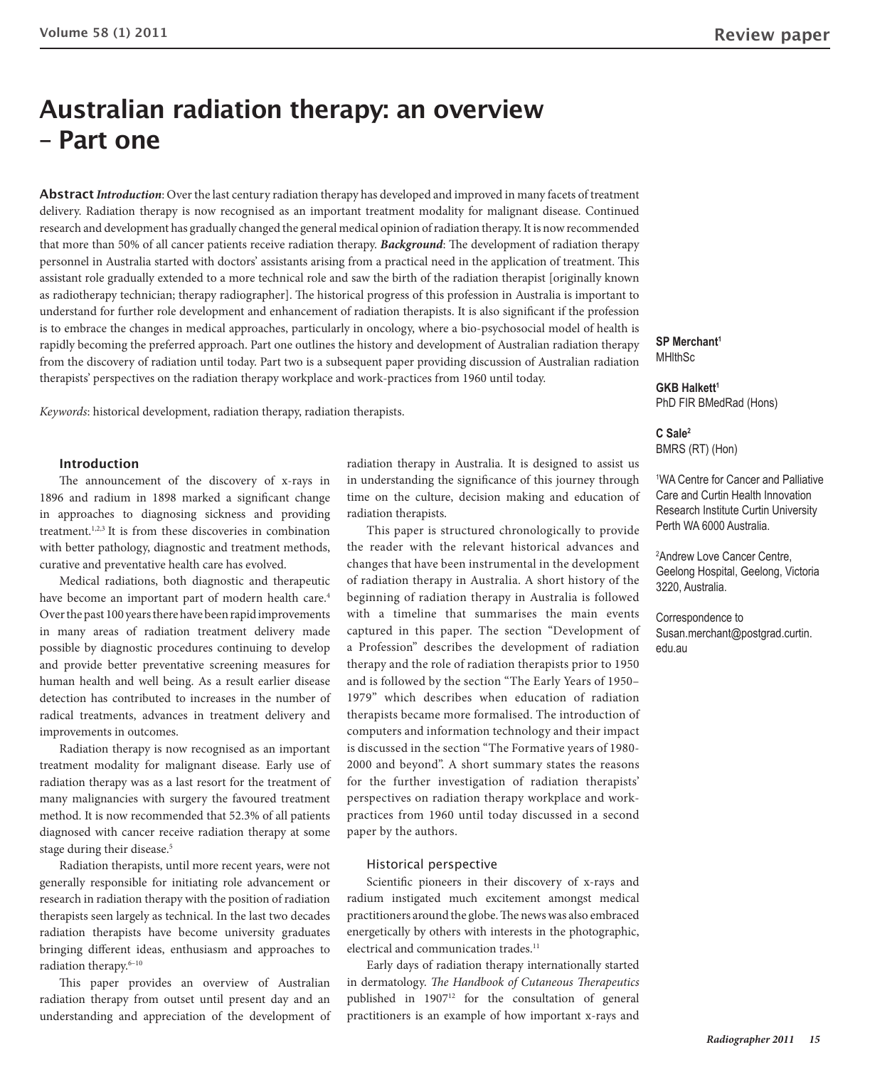# **Australian radiation therapy: an overview – Part one**

**Abstract** *Introduction*: Over the last century radiation therapy has developed and improved in many facets of treatment delivery. Radiation therapy is now recognised as an important treatment modality for malignant disease. Continued research and development has gradually changed the general medical opinion of radiation therapy. It is now recommended that more than 50% of all cancer patients receive radiation therapy. *Background*: The development of radiation therapy personnel in Australia started with doctors' assistants arising from a practical need in the application of treatment. This assistant role gradually extended to a more technical role and saw the birth of the radiation therapist [originally known as radiotherapy technician; therapy radiographer]. The historical progress of this profession in Australia is important to understand for further role development and enhancement of radiation therapists. It is also significant if the profession is to embrace the changes in medical approaches, particularly in oncology, where a bio-psychosocial model of health is rapidly becoming the preferred approach. Part one outlines the history and development of Australian radiation therapy from the discovery of radiation until today. Part two is a subsequent paper providing discussion of Australian radiation therapists' perspectives on the radiation therapy workplace and work-practices from 1960 until today.

*Keywords*: historical development, radiation therapy, radiation therapists.

#### **Introduction**

The announcement of the discovery of x-rays in 1896 and radium in 1898 marked a significant change in approaches to diagnosing sickness and providing treatment.1,2,3 It is from these discoveries in combination with better pathology, diagnostic and treatment methods, curative and preventative health care has evolved.

Medical radiations, both diagnostic and therapeutic have become an important part of modern health care.<sup>4</sup> Over the past 100 years there have been rapid improvements in many areas of radiation treatment delivery made possible by diagnostic procedures continuing to develop and provide better preventative screening measures for human health and well being. As a result earlier disease detection has contributed to increases in the number of radical treatments, advances in treatment delivery and improvements in outcomes.

Radiation therapy is now recognised as an important treatment modality for malignant disease. Early use of radiation therapy was as a last resort for the treatment of many malignancies with surgery the favoured treatment method. It is now recommended that 52.3% of all patients diagnosed with cancer receive radiation therapy at some stage during their disease.<sup>5</sup>

Radiation therapists, until more recent years, were not generally responsible for initiating role advancement or research in radiation therapy with the position of radiation therapists seen largely as technical. In the last two decades radiation therapists have become university graduates bringing different ideas, enthusiasm and approaches to radiation therapy.6–10

This paper provides an overview of Australian radiation therapy from outset until present day and an understanding and appreciation of the development of radiation therapy in Australia. It is designed to assist us in understanding the significance of this journey through time on the culture, decision making and education of radiation therapists.

This paper is structured chronologically to provide the reader with the relevant historical advances and changes that have been instrumental in the development of radiation therapy in Australia. A short history of the beginning of radiation therapy in Australia is followed with a timeline that summarises the main events captured in this paper. The section "Development of a Profession" describes the development of radiation therapy and the role of radiation therapists prior to 1950 and is followed by the section "The Early Years of 1950– 1979" which describes when education of radiation therapists became more formalised. The introduction of computers and information technology and their impact is discussed in the section "The Formative years of 1980- 2000 and beyond". A short summary states the reasons for the further investigation of radiation therapists' perspectives on radiation therapy workplace and workpractices from 1960 until today discussed in a second paper by the authors.

## Historical perspective

Scientific pioneers in their discovery of x-rays and radium instigated much excitement amongst medical practitioners around the globe. The news was also embraced energetically by others with interests in the photographic, electrical and communication trades.<sup>11</sup>

Early days of radiation therapy internationally started in dermatology. *The Handbook of Cutaneous Therapeutics*  published in 190712 for the consultation of general practitioners is an example of how important x-rays and **SP Merchant1 MHlthSc** 

**GKB Halkett1** PhD FIR BMedRad (Hons)

**C Sale2** BMRS (RT) (Hon)

1 WA Centre for Cancer and Palliative Care and Curtin Health Innovation Research Institute Curtin University Perth WA 6000 Australia.

2 Andrew Love Cancer Centre, Geelong Hospital, Geelong, Victoria 3220, Australia.

Correspondence to Susan.merchant@postgrad.curtin. edu.au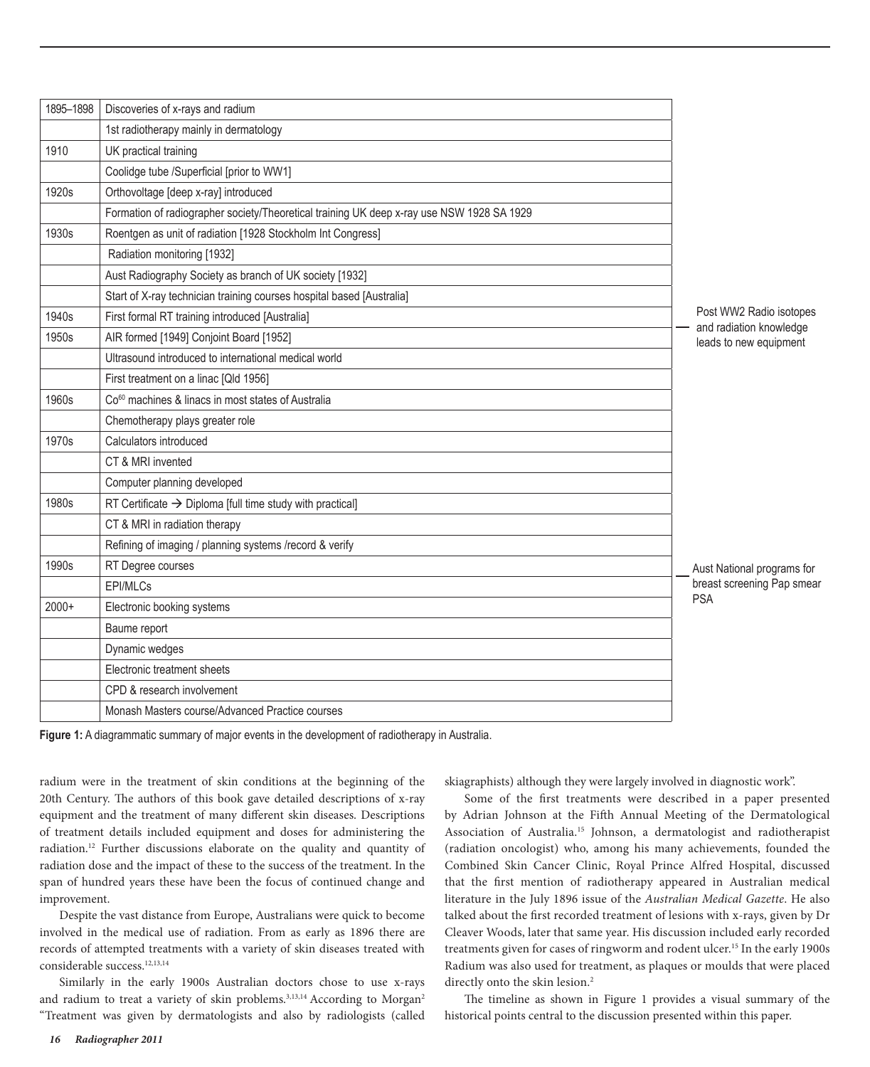| 1895-1898 | Discoveries of x-rays and radium                                                          |                                                                              |
|-----------|-------------------------------------------------------------------------------------------|------------------------------------------------------------------------------|
|           | 1st radiotherapy mainly in dermatology                                                    |                                                                              |
| 1910      | UK practical training                                                                     |                                                                              |
|           | Coolidge tube /Superficial [prior to WW1]                                                 |                                                                              |
| 1920s     | Orthovoltage [deep x-ray] introduced                                                      |                                                                              |
|           | Formation of radiographer society/Theoretical training UK deep x-ray use NSW 1928 SA 1929 |                                                                              |
| 1930s     | Roentgen as unit of radiation [1928 Stockholm Int Congress]                               |                                                                              |
|           | Radiation monitoring [1932]                                                               |                                                                              |
|           | Aust Radiography Society as branch of UK society [1932]                                   |                                                                              |
|           | Start of X-ray technician training courses hospital based [Australia]                     |                                                                              |
| 1940s     | First formal RT training introduced [Australia]                                           | Post WW2 Radio isotopes<br>and radiation knowledge<br>leads to new equipment |
| 1950s     | AIR formed [1949] Conjoint Board [1952]                                                   |                                                                              |
|           | Ultrasound introduced to international medical world                                      |                                                                              |
|           | First treatment on a linac [Qld 1956]                                                     |                                                                              |
| 1960s     | Co <sup>60</sup> machines & linacs in most states of Australia                            |                                                                              |
|           | Chemotherapy plays greater role                                                           |                                                                              |
| 1970s     | Calculators introduced                                                                    |                                                                              |
|           | CT & MRI invented                                                                         |                                                                              |
|           | Computer planning developed                                                               |                                                                              |
| 1980s     | RT Certificate $\rightarrow$ Diploma [full time study with practical]                     |                                                                              |
|           | CT & MRI in radiation therapy                                                             |                                                                              |
|           | Refining of imaging / planning systems /record & verify                                   |                                                                              |
| 1990s     | RT Degree courses                                                                         | Aust National programs for                                                   |
|           | EPI/MLCs                                                                                  | breast screening Pap smear<br><b>PSA</b>                                     |
| $2000+$   | Electronic booking systems                                                                |                                                                              |
|           | Baume report                                                                              |                                                                              |
|           | Dynamic wedges                                                                            |                                                                              |
|           | Electronic treatment sheets                                                               |                                                                              |
|           | CPD & research involvement                                                                |                                                                              |
|           | Monash Masters course/Advanced Practice courses                                           |                                                                              |
|           |                                                                                           |                                                                              |

**Figure 1:** A diagrammatic summary of major events in the development of radiotherapy in Australia.

radium were in the treatment of skin conditions at the beginning of the 20th Century. The authors of this book gave detailed descriptions of x-ray equipment and the treatment of many different skin diseases. Descriptions of treatment details included equipment and doses for administering the radiation.12 Further discussions elaborate on the quality and quantity of radiation dose and the impact of these to the success of the treatment. In the span of hundred years these have been the focus of continued change and improvement.

Despite the vast distance from Europe, Australians were quick to become involved in the medical use of radiation. From as early as 1896 there are records of attempted treatments with a variety of skin diseases treated with considerable success.<sup>12,13,14</sup>

Similarly in the early 1900s Australian doctors chose to use x-rays and radium to treat a variety of skin problems.<sup>3,13,14</sup> According to Morgan<sup>2</sup> "Treatment was given by dermatologists and also by radiologists (called skiagraphists) although they were largely involved in diagnostic work".

Some of the first treatments were described in a paper presented by Adrian Johnson at the Fifth Annual Meeting of the Dermatological Association of Australia.15 Johnson, a dermatologist and radiotherapist (radiation oncologist) who, among his many achievements, founded the Combined Skin Cancer Clinic, Royal Prince Alfred Hospital, discussed that the first mention of radiotherapy appeared in Australian medical literature in the July 1896 issue of the *Australian Medical Gazette*. He also talked about the first recorded treatment of lesions with x-rays, given by Dr Cleaver Woods, later that same year. His discussion included early recorded treatments given for cases of ringworm and rodent ulcer.<sup>15</sup> In the early 1900s Radium was also used for treatment, as plaques or moulds that were placed directly onto the skin lesion.<sup>2</sup>

The timeline as shown in Figure 1 provides a visual summary of the historical points central to the discussion presented within this paper.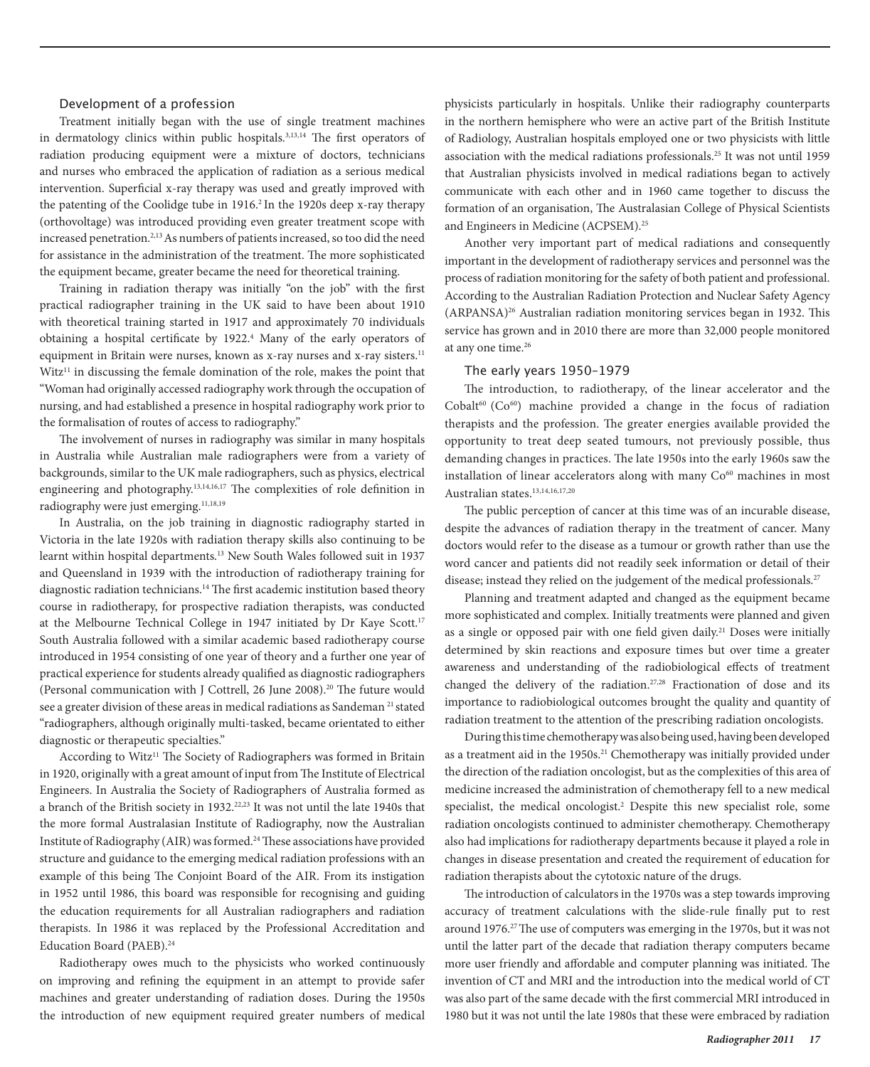## Development of a profession

Treatment initially began with the use of single treatment machines in dermatology clinics within public hospitals.3,13,14 The first operators of radiation producing equipment were a mixture of doctors, technicians and nurses who embraced the application of radiation as a serious medical intervention. Superficial x-ray therapy was used and greatly improved with the patenting of the Coolidge tube in 1916.<sup>2</sup> In the 1920s deep x-ray therapy (orthovoltage) was introduced providing even greater treatment scope with increased penetration.<sup>2,13</sup> As numbers of patients increased, so too did the need for assistance in the administration of the treatment. The more sophisticated the equipment became, greater became the need for theoretical training.

Training in radiation therapy was initially "on the job" with the first practical radiographer training in the UK said to have been about 1910 with theoretical training started in 1917 and approximately 70 individuals obtaining a hospital certificate by 1922.4 Many of the early operators of equipment in Britain were nurses, known as x-ray nurses and x-ray sisters.<sup>11</sup>  $Witz<sup>11</sup>$  in discussing the female domination of the role, makes the point that "Woman had originally accessed radiography work through the occupation of nursing, and had established a presence in hospital radiography work prior to the formalisation of routes of access to radiography."

The involvement of nurses in radiography was similar in many hospitals in Australia while Australian male radiographers were from a variety of backgrounds, similar to the UK male radiographers, such as physics, electrical engineering and photography.13,14,16,17 The complexities of role definition in radiography were just emerging.<sup>11,18,19</sup>

In Australia, on the job training in diagnostic radiography started in Victoria in the late 1920s with radiation therapy skills also continuing to be learnt within hospital departments.<sup>13</sup> New South Wales followed suit in 1937 and Queensland in 1939 with the introduction of radiotherapy training for diagnostic radiation technicians.14 The first academic institution based theory course in radiotherapy, for prospective radiation therapists, was conducted at the Melbourne Technical College in 1947 initiated by Dr Kaye Scott.<sup>17</sup> South Australia followed with a similar academic based radiotherapy course introduced in 1954 consisting of one year of theory and a further one year of practical experience for students already qualified as diagnostic radiographers (Personal communication with J Cottrell, 26 June 2008).<sup>20</sup> The future would see a greater division of these areas in medical radiations as Sandeman 21 stated "radiographers, although originally multi-tasked, became orientated to either diagnostic or therapeutic specialties."

According to Witz<sup>11</sup> The Society of Radiographers was formed in Britain in 1920, originally with a great amount of input from The Institute of Electrical Engineers. In Australia the Society of Radiographers of Australia formed as a branch of the British society in 1932.22,23 It was not until the late 1940s that the more formal Australasian Institute of Radiography, now the Australian Institute of Radiography (AIR) was formed.24 These associations have provided structure and guidance to the emerging medical radiation professions with an example of this being The Conjoint Board of the AIR. From its instigation in 1952 until 1986, this board was responsible for recognising and guiding the education requirements for all Australian radiographers and radiation therapists. In 1986 it was replaced by the Professional Accreditation and Education Board (PAEB).24

Radiotherapy owes much to the physicists who worked continuously on improving and refining the equipment in an attempt to provide safer machines and greater understanding of radiation doses. During the 1950s the introduction of new equipment required greater numbers of medical physicists particularly in hospitals. Unlike their radiography counterparts in the northern hemisphere who were an active part of the British Institute of Radiology, Australian hospitals employed one or two physicists with little association with the medical radiations professionals.25 It was not until 1959 that Australian physicists involved in medical radiations began to actively communicate with each other and in 1960 came together to discuss the formation of an organisation, The Australasian College of Physical Scientists and Engineers in Medicine (ACPSEM).25

Another very important part of medical radiations and consequently important in the development of radiotherapy services and personnel was the process of radiation monitoring for the safety of both patient and professional. According to the Australian Radiation Protection and Nuclear Safety Agency (ARPANSA)26 Australian radiation monitoring services began in 1932. This service has grown and in 2010 there are more than 32,000 people monitored at any one time.26

### The early years 1950–1979

The introduction, to radiotherapy, of the linear accelerator and the  $Cobalt<sup>60</sup>$  ( $Co<sup>60</sup>$ ) machine provided a change in the focus of radiation therapists and the profession. The greater energies available provided the opportunity to treat deep seated tumours, not previously possible, thus demanding changes in practices. The late 1950s into the early 1960s saw the installation of linear accelerators along with many  $Co<sup>60</sup>$  machines in most Australian states.<sup>13,14,16,17,20</sup>

The public perception of cancer at this time was of an incurable disease, despite the advances of radiation therapy in the treatment of cancer. Many doctors would refer to the disease as a tumour or growth rather than use the word cancer and patients did not readily seek information or detail of their disease; instead they relied on the judgement of the medical professionals.<sup>27</sup>

Planning and treatment adapted and changed as the equipment became more sophisticated and complex. Initially treatments were planned and given as a single or opposed pair with one field given daily.<sup>21</sup> Doses were initially determined by skin reactions and exposure times but over time a greater awareness and understanding of the radiobiological effects of treatment changed the delivery of the radiation.27,28 Fractionation of dose and its importance to radiobiological outcomes brought the quality and quantity of radiation treatment to the attention of the prescribing radiation oncologists.

During this time chemotherapy was also being used, having been developed as a treatment aid in the 1950s.<sup>21</sup> Chemotherapy was initially provided under the direction of the radiation oncologist, but as the complexities of this area of medicine increased the administration of chemotherapy fell to a new medical specialist, the medical oncologist.<sup>2</sup> Despite this new specialist role, some radiation oncologists continued to administer chemotherapy. Chemotherapy also had implications for radiotherapy departments because it played a role in changes in disease presentation and created the requirement of education for radiation therapists about the cytotoxic nature of the drugs.

The introduction of calculators in the 1970s was a step towards improving accuracy of treatment calculations with the slide-rule finally put to rest around 1976.27The use of computers was emerging in the 1970s, but it was not until the latter part of the decade that radiation therapy computers became more user friendly and affordable and computer planning was initiated. The invention of CT and MRI and the introduction into the medical world of CT was also part of the same decade with the first commercial MRI introduced in 1980 but it was not until the late 1980s that these were embraced by radiation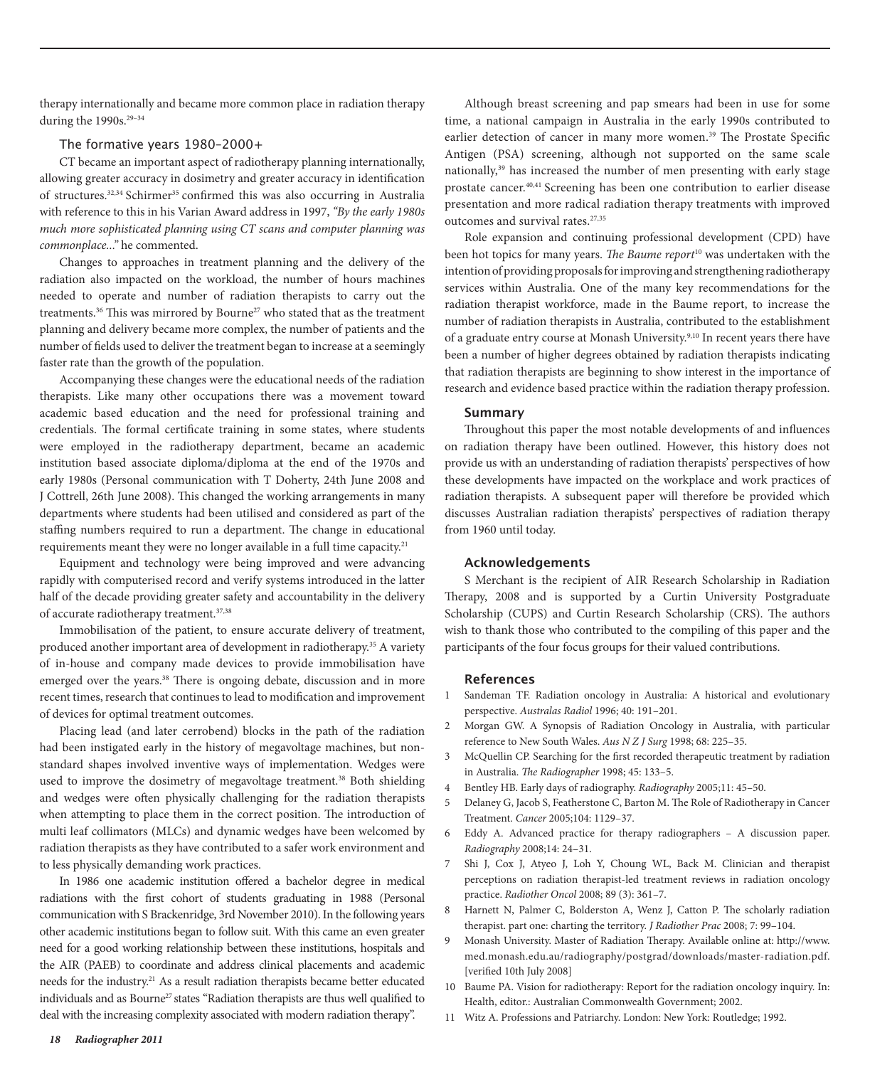therapy internationally and became more common place in radiation therapy during the 1990s.<sup>29-34</sup>

### The formative years 1980–2000+

CT became an important aspect of radiotherapy planning internationally, allowing greater accuracy in dosimetry and greater accuracy in identification of structures.<sup>32,34</sup> Schirmer<sup>35</sup> confirmed this was also occurring in Australia with reference to this in his Varian Award address in 1997, *"By the early 1980s much more sophisticated planning using CT scans and computer planning was commonplace..."* he commented.

Changes to approaches in treatment planning and the delivery of the radiation also impacted on the workload, the number of hours machines needed to operate and number of radiation therapists to carry out the treatments.<sup>36</sup> This was mirrored by Bourne<sup>27</sup> who stated that as the treatment planning and delivery became more complex, the number of patients and the number of fields used to deliver the treatment began to increase at a seemingly faster rate than the growth of the population.

Accompanying these changes were the educational needs of the radiation therapists. Like many other occupations there was a movement toward academic based education and the need for professional training and credentials. The formal certificate training in some states, where students were employed in the radiotherapy department, became an academic institution based associate diploma/diploma at the end of the 1970s and early 1980s (Personal communication with T Doherty, 24th June 2008 and J Cottrell, 26th June 2008). This changed the working arrangements in many departments where students had been utilised and considered as part of the staffing numbers required to run a department. The change in educational requirements meant they were no longer available in a full time capacity.<sup>21</sup>

Equipment and technology were being improved and were advancing rapidly with computerised record and verify systems introduced in the latter half of the decade providing greater safety and accountability in the delivery of accurate radiotherapy treatment.37,38

Immobilisation of the patient, to ensure accurate delivery of treatment, produced another important area of development in radiotherapy.35 A variety of in-house and company made devices to provide immobilisation have emerged over the years.<sup>38</sup> There is ongoing debate, discussion and in more recent times, research that continues to lead to modification and improvement of devices for optimal treatment outcomes.

Placing lead (and later cerrobend) blocks in the path of the radiation had been instigated early in the history of megavoltage machines, but nonstandard shapes involved inventive ways of implementation. Wedges were used to improve the dosimetry of megavoltage treatment.<sup>38</sup> Both shielding and wedges were often physically challenging for the radiation therapists when attempting to place them in the correct position. The introduction of multi leaf collimators (MLCs) and dynamic wedges have been welcomed by radiation therapists as they have contributed to a safer work environment and to less physically demanding work practices.

In 1986 one academic institution offered a bachelor degree in medical radiations with the first cohort of students graduating in 1988 (Personal communication with S Brackenridge, 3rd November 2010). In the following years other academic institutions began to follow suit. With this came an even greater need for a good working relationship between these institutions, hospitals and the AIR (PAEB) to coordinate and address clinical placements and academic needs for the industry.21 As a result radiation therapists became better educated individuals and as Bourne<sup>27</sup> states "Radiation therapists are thus well qualified to deal with the increasing complexity associated with modern radiation therapy".

Although breast screening and pap smears had been in use for some time, a national campaign in Australia in the early 1990s contributed to earlier detection of cancer in many more women.<sup>39</sup> The Prostate Specific Antigen (PSA) screening, although not supported on the same scale nationally,<sup>39</sup> has increased the number of men presenting with early stage prostate cancer.40,41 Screening has been one contribution to earlier disease presentation and more radical radiation therapy treatments with improved outcomes and survival rates.<sup>27,35</sup>

Role expansion and continuing professional development (CPD) have been hot topics for many years. *The Baume report*10 was undertaken with the intention of providing proposals for improving and strengthening radiotherapy services within Australia. One of the many key recommendations for the radiation therapist workforce, made in the Baume report, to increase the number of radiation therapists in Australia, contributed to the establishment of a graduate entry course at Monash University.<sup>9,10</sup> In recent years there have been a number of higher degrees obtained by radiation therapists indicating that radiation therapists are beginning to show interest in the importance of research and evidence based practice within the radiation therapy profession.

## **Summary**

Throughout this paper the most notable developments of and influences on radiation therapy have been outlined. However, this history does not provide us with an understanding of radiation therapists' perspectives of how these developments have impacted on the workplace and work practices of radiation therapists. A subsequent paper will therefore be provided which discusses Australian radiation therapists' perspectives of radiation therapy from 1960 until today.

## **Acknowledgements**

S Merchant is the recipient of AIR Research Scholarship in Radiation Therapy, 2008 and is supported by a Curtin University Postgraduate Scholarship (CUPS) and Curtin Research Scholarship (CRS). The authors wish to thank those who contributed to the compiling of this paper and the participants of the four focus groups for their valued contributions.

### **References**

- 1 Sandeman TF. Radiation oncology in Australia: A historical and evolutionary perspective. *Australas Radiol* 1996; 40: 191–201.
- 2 Morgan GW. A Synopsis of Radiation Oncology in Australia, with particular reference to New South Wales. *Aus N Z J Surg* 1998; 68: 225–35.
- 3 McQuellin CP. Searching for the first recorded therapeutic treatment by radiation in Australia. *The Radiographer* 1998; 45: 133–5.
- 4 Bentley HB. Early days of radiography. *Radiography* 2005;11: 45–50.
- 5 Delaney G, Jacob S, Featherstone C, Barton M. The Role of Radiotherapy in Cancer Treatment. *Cancer* 2005;104: 1129–37.
- 6 Eddy A. Advanced practice for therapy radiographers A discussion paper. *Radiography* 2008;14: 24–31.
- 7 Shi J, Cox J, Atyeo J, Loh Y, Choung WL, Back M. Clinician and therapist perceptions on radiation therapist-led treatment reviews in radiation oncology practice. *Radiother Oncol* 2008; 89 (3): 361–7.
- 8 Harnett N, Palmer C, Bolderston A, Wenz J, Catton P. The scholarly radiation therapist. part one: charting the territory. *J Radiother Prac* 2008; 7: 99–104.
- 9 Monash University. Master of Radiation Therapy. Available online at: http://www. med.monash.edu.au/radiography/postgrad/downloads/master-radiation.pdf. [verified 10th July 2008]
- 10 Baume PA. Vision for radiotherapy: Report for the radiation oncology inquiry. In: Health, editor.: Australian Commonwealth Government; 2002.
- 11 Witz A. Professions and Patriarchy. London: New York: Routledge; 1992.